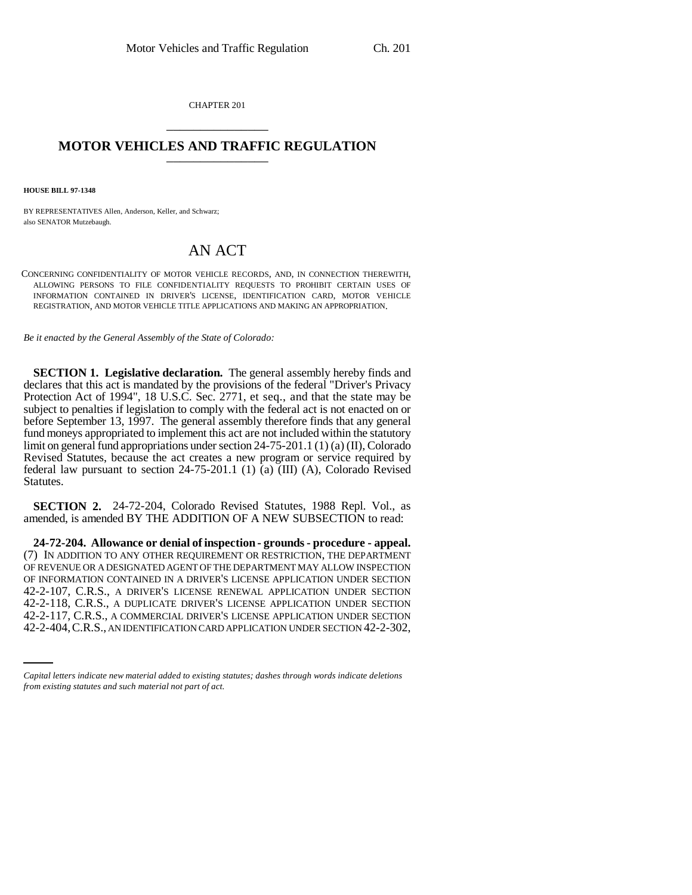CHAPTER 201 \_\_\_\_\_\_\_\_\_\_\_\_\_\_\_

## **MOTOR VEHICLES AND TRAFFIC REGULATION** \_\_\_\_\_\_\_\_\_\_\_\_\_\_\_

**HOUSE BILL 97-1348**

BY REPRESENTATIVES Allen, Anderson, Keller, and Schwarz; also SENATOR Mutzebaugh.

## AN ACT

CONCERNING CONFIDENTIALITY OF MOTOR VEHICLE RECORDS, AND, IN CONNECTION THEREWITH, ALLOWING PERSONS TO FILE CONFIDENTIALITY REQUESTS TO PROHIBIT CERTAIN USES OF INFORMATION CONTAINED IN DRIVER'S LICENSE, IDENTIFICATION CARD, MOTOR VEHICLE REGISTRATION, AND MOTOR VEHICLE TITLE APPLICATIONS AND MAKING AN APPROPRIATION.

*Be it enacted by the General Assembly of the State of Colorado:*

**SECTION 1. Legislative declaration.** The general assembly hereby finds and declares that this act is mandated by the provisions of the federal "Driver's Privacy Protection Act of 1994", 18 U.S.C. Sec. 2771, et seq., and that the state may be subject to penalties if legislation to comply with the federal act is not enacted on or before September 13, 1997. The general assembly therefore finds that any general fund moneys appropriated to implement this act are not included within the statutory limit on general fund appropriations under section 24-75-201.1 (1) (a) (II), Colorado Revised Statutes, because the act creates a new program or service required by federal law pursuant to section 24-75-201.1 (1) (a) (III) (A), Colorado Revised Statutes.

**SECTION 2.** 24-72-204, Colorado Revised Statutes, 1988 Repl. Vol., as amended, is amended BY THE ADDITION OF A NEW SUBSECTION to read:

42-2-118, C.R.S., A DUPLICATE DRIVER'S LICENSE APPLICATION UNDER SECTION **24-72-204. Allowance or denial of inspection - grounds - procedure - appeal.** (7) IN ADDITION TO ANY OTHER REQUIREMENT OR RESTRICTION, THE DEPARTMENT OF REVENUE OR A DESIGNATED AGENT OF THE DEPARTMENT MAY ALLOW INSPECTION OF INFORMATION CONTAINED IN A DRIVER'S LICENSE APPLICATION UNDER SECTION 42-2-107, C.R.S., A DRIVER'S LICENSE RENEWAL APPLICATION UNDER SECTION 42-2-117, C.R.S., A COMMERCIAL DRIVER'S LICENSE APPLICATION UNDER SECTION 42-2-404,C.R.S., AN IDENTIFICATION CARD APPLICATION UNDER SECTION 42-2-302,

*Capital letters indicate new material added to existing statutes; dashes through words indicate deletions from existing statutes and such material not part of act.*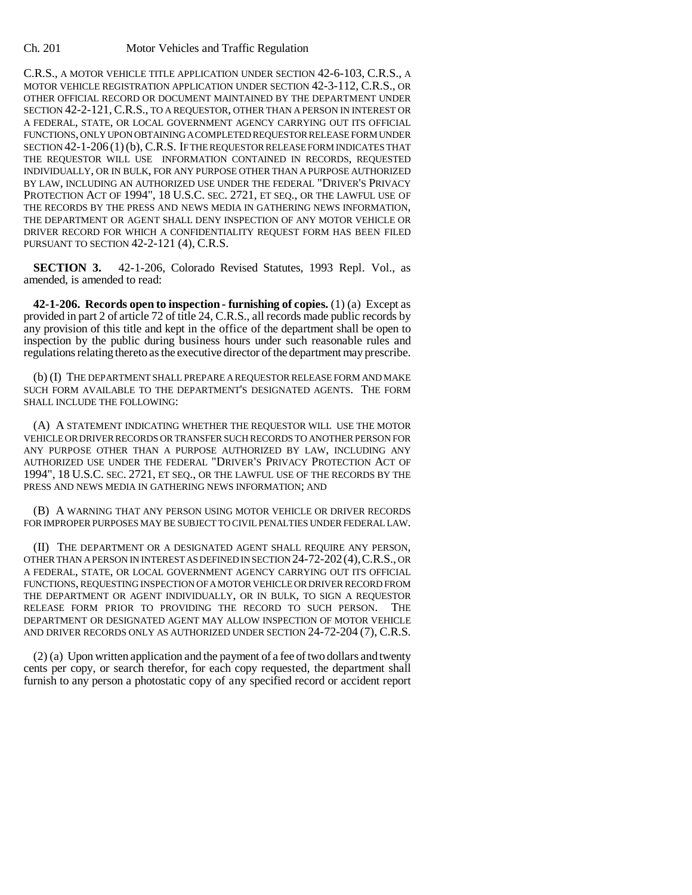C.R.S., A MOTOR VEHICLE TITLE APPLICATION UNDER SECTION 42-6-103, C.R.S., A MOTOR VEHICLE REGISTRATION APPLICATION UNDER SECTION 42-3-112, C.R.S., OR OTHER OFFICIAL RECORD OR DOCUMENT MAINTAINED BY THE DEPARTMENT UNDER SECTION 42-2-121, C.R.S., TO A REQUESTOR, OTHER THAN A PERSON IN INTEREST OR A FEDERAL, STATE, OR LOCAL GOVERNMENT AGENCY CARRYING OUT ITS OFFICIAL FUNCTIONS, ONLY UPON OBTAINING A COMPLETED REQUESTOR RELEASE FORM UNDER SECTION 42-1-206 (1)(b), C.R.S. IF THE REQUESTOR RELEASE FORM INDICATES THAT THE REQUESTOR WILL USE INFORMATION CONTAINED IN RECORDS, REQUESTED INDIVIDUALLY, OR IN BULK, FOR ANY PURPOSE OTHER THAN A PURPOSE AUTHORIZED BY LAW, INCLUDING AN AUTHORIZED USE UNDER THE FEDERAL "DRIVER'S PRIVACY PROTECTION ACT OF 1994", 18 U.S.C. SEC. 2721, ET SEQ., OR THE LAWFUL USE OF THE RECORDS BY THE PRESS AND NEWS MEDIA IN GATHERING NEWS INFORMATION, THE DEPARTMENT OR AGENT SHALL DENY INSPECTION OF ANY MOTOR VEHICLE OR DRIVER RECORD FOR WHICH A CONFIDENTIALITY REQUEST FORM HAS BEEN FILED PURSUANT TO SECTION 42-2-121 (4), C.R.S.

**SECTION 3.** 42-1-206, Colorado Revised Statutes, 1993 Repl. Vol., as amended, is amended to read:

**42-1-206. Records open to inspection - furnishing of copies.** (1) (a) Except as provided in part 2 of article 72 of title 24, C.R.S., all records made public records by any provision of this title and kept in the office of the department shall be open to inspection by the public during business hours under such reasonable rules and regulations relating thereto as the executive director of the department may prescribe.

(b) (I) THE DEPARTMENT SHALL PREPARE A REQUESTOR RELEASE FORM AND MAKE SUCH FORM AVAILABLE TO THE DEPARTMENT'S DESIGNATED AGENTS. THE FORM SHALL INCLUDE THE FOLLOWING:

(A) A STATEMENT INDICATING WHETHER THE REQUESTOR WILL USE THE MOTOR VEHICLE OR DRIVER RECORDS OR TRANSFER SUCH RECORDS TO ANOTHER PERSON FOR ANY PURPOSE OTHER THAN A PURPOSE AUTHORIZED BY LAW, INCLUDING ANY AUTHORIZED USE UNDER THE FEDERAL "DRIVER'S PRIVACY PROTECTION ACT OF 1994", 18 U.S.C. SEC. 2721, ET SEQ., OR THE LAWFUL USE OF THE RECORDS BY THE PRESS AND NEWS MEDIA IN GATHERING NEWS INFORMATION; AND

(B) A WARNING THAT ANY PERSON USING MOTOR VEHICLE OR DRIVER RECORDS FOR IMPROPER PURPOSES MAY BE SUBJECT TO CIVIL PENALTIES UNDER FEDERAL LAW.

(II) THE DEPARTMENT OR A DESIGNATED AGENT SHALL REQUIRE ANY PERSON, OTHER THAN A PERSON IN INTEREST AS DEFINED IN SECTION 24-72-202(4),C.R.S., OR A FEDERAL, STATE, OR LOCAL GOVERNMENT AGENCY CARRYING OUT ITS OFFICIAL FUNCTIONS, REQUESTING INSPECTION OF A MOTOR VEHICLE OR DRIVER RECORD FROM THE DEPARTMENT OR AGENT INDIVIDUALLY, OR IN BULK, TO SIGN A REQUESTOR RELEASE FORM PRIOR TO PROVIDING THE RECORD TO SUCH PERSON. THE DEPARTMENT OR DESIGNATED AGENT MAY ALLOW INSPECTION OF MOTOR VEHICLE AND DRIVER RECORDS ONLY AS AUTHORIZED UNDER SECTION 24-72-204 (7), C.R.S.

(2) (a) Upon written application and the payment of a fee of two dollars and twenty cents per copy, or search therefor, for each copy requested, the department shall furnish to any person a photostatic copy of any specified record or accident report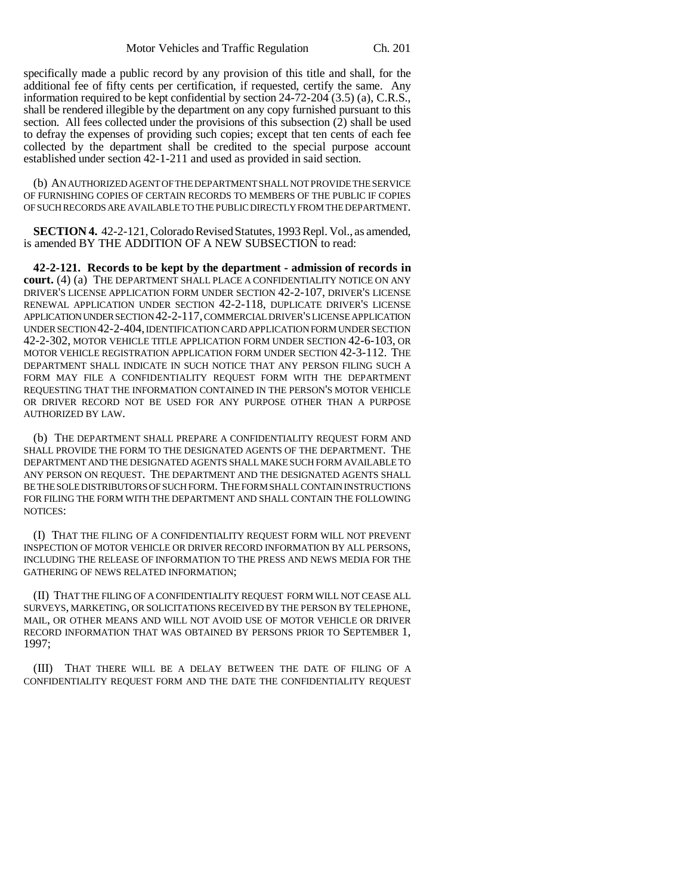specifically made a public record by any provision of this title and shall, for the additional fee of fifty cents per certification, if requested, certify the same. Any information required to be kept confidential by section 24-72-204 (3.5) (a), C.R.S., shall be rendered illegible by the department on any copy furnished pursuant to this section. All fees collected under the provisions of this subsection (2) shall be used to defray the expenses of providing such copies; except that ten cents of each fee collected by the department shall be credited to the special purpose account established under section 42-1-211 and used as provided in said section.

(b) AN AUTHORIZED AGENT OF THE DEPARTMENT SHALL NOT PROVIDE THE SERVICE OF FURNISHING COPIES OF CERTAIN RECORDS TO MEMBERS OF THE PUBLIC IF COPIES OF SUCH RECORDS ARE AVAILABLE TO THE PUBLIC DIRECTLY FROM THE DEPARTMENT.

**SECTION 4.** 42-2-121, Colorado Revised Statutes, 1993 Repl. Vol., as amended, is amended BY THE ADDITION OF A NEW SUBSECTION to read:

**42-2-121. Records to be kept by the department - admission of records in court.** (4) (a) THE DEPARTMENT SHALL PLACE A CONFIDENTIALITY NOTICE ON ANY DRIVER'S LICENSE APPLICATION FORM UNDER SECTION 42-2-107, DRIVER'S LICENSE RENEWAL APPLICATION UNDER SECTION 42-2-118, DUPLICATE DRIVER'S LICENSE APPLICATION UNDER SECTION 42-2-117, COMMERCIAL DRIVER'S LICENSE APPLICATION UNDER SECTION 42-2-404, IDENTIFICATION CARD APPLICATION FORM UNDER SECTION 42-2-302, MOTOR VEHICLE TITLE APPLICATION FORM UNDER SECTION 42-6-103, OR MOTOR VEHICLE REGISTRATION APPLICATION FORM UNDER SECTION 42-3-112. THE DEPARTMENT SHALL INDICATE IN SUCH NOTICE THAT ANY PERSON FILING SUCH A FORM MAY FILE A CONFIDENTIALITY REQUEST FORM WITH THE DEPARTMENT REQUESTING THAT THE INFORMATION CONTAINED IN THE PERSON'S MOTOR VEHICLE OR DRIVER RECORD NOT BE USED FOR ANY PURPOSE OTHER THAN A PURPOSE AUTHORIZED BY LAW.

(b) THE DEPARTMENT SHALL PREPARE A CONFIDENTIALITY REQUEST FORM AND SHALL PROVIDE THE FORM TO THE DESIGNATED AGENTS OF THE DEPARTMENT. THE DEPARTMENT AND THE DESIGNATED AGENTS SHALL MAKE SUCH FORM AVAILABLE TO ANY PERSON ON REQUEST. THE DEPARTMENT AND THE DESIGNATED AGENTS SHALL BE THE SOLE DISTRIBUTORS OF SUCH FORM. THE FORM SHALL CONTAIN INSTRUCTIONS FOR FILING THE FORM WITH THE DEPARTMENT AND SHALL CONTAIN THE FOLLOWING NOTICES:

(I) THAT THE FILING OF A CONFIDENTIALITY REQUEST FORM WILL NOT PREVENT INSPECTION OF MOTOR VEHICLE OR DRIVER RECORD INFORMATION BY ALL PERSONS, INCLUDING THE RELEASE OF INFORMATION TO THE PRESS AND NEWS MEDIA FOR THE GATHERING OF NEWS RELATED INFORMATION;

(II) THAT THE FILING OF A CONFIDENTIALITY REQUEST FORM WILL NOT CEASE ALL SURVEYS, MARKETING, OR SOLICITATIONS RECEIVED BY THE PERSON BY TELEPHONE, MAIL, OR OTHER MEANS AND WILL NOT AVOID USE OF MOTOR VEHICLE OR DRIVER RECORD INFORMATION THAT WAS OBTAINED BY PERSONS PRIOR TO SEPTEMBER 1, 1997;

(III) THAT THERE WILL BE A DELAY BETWEEN THE DATE OF FILING OF A CONFIDENTIALITY REQUEST FORM AND THE DATE THE CONFIDENTIALITY REQUEST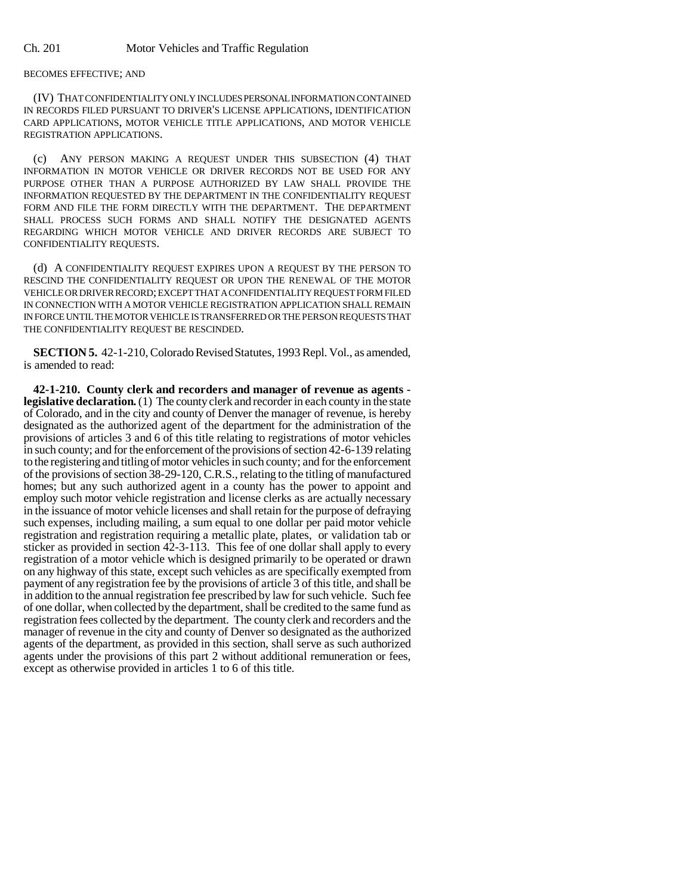## BECOMES EFFECTIVE; AND

(IV) THAT CONFIDENTIALITY ONLY INCLUDES PERSONAL INFORMATION CONTAINED IN RECORDS FILED PURSUANT TO DRIVER'S LICENSE APPLICATIONS, IDENTIFICATION CARD APPLICATIONS, MOTOR VEHICLE TITLE APPLICATIONS, AND MOTOR VEHICLE REGISTRATION APPLICATIONS.

(c) ANY PERSON MAKING A REQUEST UNDER THIS SUBSECTION (4) THAT INFORMATION IN MOTOR VEHICLE OR DRIVER RECORDS NOT BE USED FOR ANY PURPOSE OTHER THAN A PURPOSE AUTHORIZED BY LAW SHALL PROVIDE THE INFORMATION REQUESTED BY THE DEPARTMENT IN THE CONFIDENTIALITY REQUEST FORM AND FILE THE FORM DIRECTLY WITH THE DEPARTMENT. THE DEPARTMENT SHALL PROCESS SUCH FORMS AND SHALL NOTIFY THE DESIGNATED AGENTS REGARDING WHICH MOTOR VEHICLE AND DRIVER RECORDS ARE SUBJECT TO CONFIDENTIALITY REQUESTS.

(d) A CONFIDENTIALITY REQUEST EXPIRES UPON A REQUEST BY THE PERSON TO RESCIND THE CONFIDENTIALITY REQUEST OR UPON THE RENEWAL OF THE MOTOR VEHICLE OR DRIVER RECORD; EXCEPT THAT A CONFIDENTIALITY REQUEST FORM FILED IN CONNECTION WITH A MOTOR VEHICLE REGISTRATION APPLICATION SHALL REMAIN IN FORCE UNTIL THE MOTOR VEHICLE IS TRANSFERRED OR THE PERSON REQUESTS THAT THE CONFIDENTIALITY REQUEST BE RESCINDED.

**SECTION 5.** 42-1-210, Colorado Revised Statutes, 1993 Repl. Vol., as amended, is amended to read:

**42-1-210. County clerk and recorders and manager of revenue as agents legislative declaration.** (1) The county clerk and recorder in each county in the state of Colorado, and in the city and county of Denver the manager of revenue, is hereby designated as the authorized agent of the department for the administration of the provisions of articles 3 and 6 of this title relating to registrations of motor vehicles in such county; and for the enforcement of the provisions of section 42-6-139 relating to the registering and titling of motor vehicles in such county; and for the enforcement of the provisions of section 38-29-120, C.R.S., relating to the titling of manufactured homes; but any such authorized agent in a county has the power to appoint and employ such motor vehicle registration and license clerks as are actually necessary in the issuance of motor vehicle licenses and shall retain for the purpose of defraying such expenses, including mailing, a sum equal to one dollar per paid motor vehicle registration and registration requiring a metallic plate, plates, or validation tab or sticker as provided in section 42-3-113. This fee of one dollar shall apply to every registration of a motor vehicle which is designed primarily to be operated or drawn on any highway of this state, except such vehicles as are specifically exempted from payment of any registration fee by the provisions of article 3 of this title, and shall be in addition to the annual registration fee prescribed by law for such vehicle. Such fee of one dollar, when collected by the department, shall be credited to the same fund as registration fees collected by the department. The county clerk and recorders and the manager of revenue in the city and county of Denver so designated as the authorized agents of the department, as provided in this section, shall serve as such authorized agents under the provisions of this part 2 without additional remuneration or fees, except as otherwise provided in articles 1 to 6 of this title.